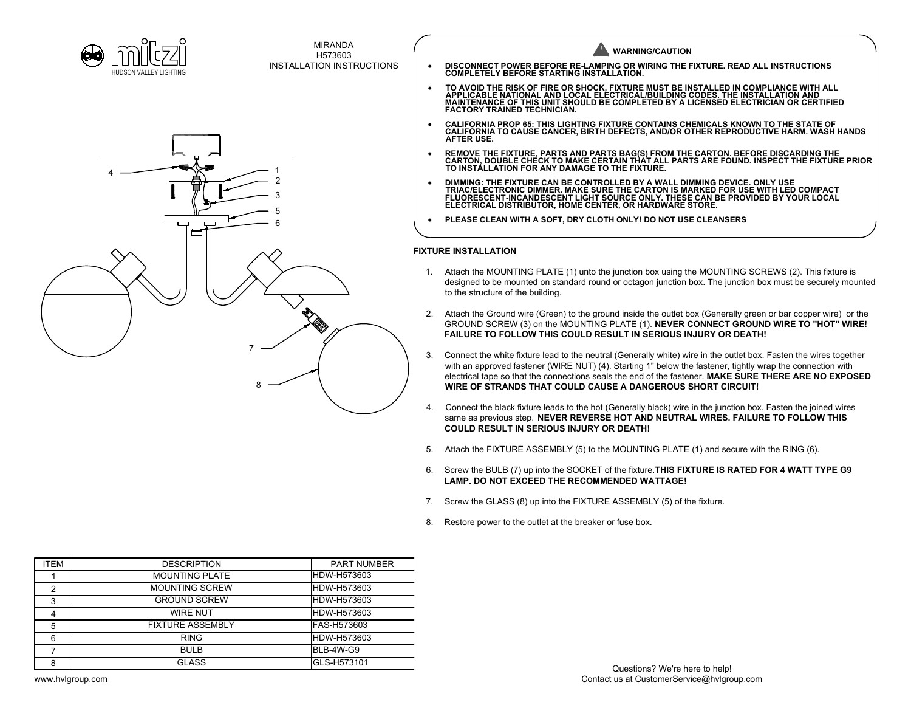



MIRANDA H573603

**FIXTURE INSTALLATION** 1. Attach the MOUNTING PLATE (1) unto the junction box using the MOUNTING SCREWS (2). This fixture is designed to be mounted on standard round or octagon junction box. The junction box must be securely mounted to the structure of the building. 2. Attach the Ground wire (Green) to the ground inside the outlet box (Generally green or bar copper wire) or the GROUND SCREW (3) on the MOUNTING PLATE (1). **NEVER CONNECT GROUND WIRE TO "HOT" WIRE! FAILURE TO FOLLOW THIS COULD RESULT IN SERIOUS INJURY OR DEATH!** 3. Connect the white fixture lead to the neutral (Generally white) wire in the outlet box. Fasten the wires together INSTALLATION INSTRUCTIONS **WARNING/CAUTION** · **DISCONNECT POWER BEFORE RE-LAMPING OR WIRING THE FIXTURE. READ ALL INSTRUCTIONS COMPLETELY BEFORE STARTING INSTALLATION.** • TO AVOID THE RISK OF FIRE OR SHOCK, FIXTURE MUST BE INSTALLED IN COMPLIANCE WITH ALL<br> APPLICABLE NATIONAL AND LOCAL ELECTRICAL/BUILDING CODES. THE INSTALLATION AND<br> MAINTENANCE OF THIS UNIT SHOULD BE C **FACTORY TRAINED TECHNICIAN.** · **CALIFORNIA PROP 65: THIS LIGHTING FIXTURE CONTAINS CHEMICALS KNOWN TO THE STATE OF CALIFORNIA TO CAUSE CANCER, BIRTH DEFECTS, AND/OR OTHER REPRODUCTIVE HARM. WASH HANDS AFTER USE.** • REMOVE THE FIXTURE, PARTS AND PARTS BAG(S) FROM THE CARTON. BEFORE DISCARDING THE<br> CARTON, DOUBLE CHECK TO MAKE CERTAIN THAT ALL PARTS ARE FOUND. INSPECT THE FIXTURE PRIOR<br> TO INSTALLATION FOR ANY DAMAGE TO THE F · **DIMMING: THE FIXTURE CAN BE CONTROLLED BY A WALL DIMMING DEVICE. ONLY USE TRIAC/ELECTRONIC DIMMER. MAKE SURE THE CARTON IS MARKED FOR USE WITH LED COMPACT FLUORESCENT-INCANDESCENT LIGHT SOURCE ONLY. THESE CAN BE PROVIDED BY YOUR LOCAL ELECTRICAL DISTRIBUTOR, HOME CENTER, OR HARDWARE STORE.** · **PLEASE CLEAN WITH A SOFT, DRY CLOTH ONLY! DO NOT USE CLEANSERS**

- with an approved fastener (WIRE NUT) (4). Starting 1" below the fastener, tightly wrap the connection with electrical tape so that the connections seals the end of the fastener. **MAKE SURE THERE ARE NO EXPOSED WIRE OF STRANDS THAT COULD CAUSE A DANGEROUS SHORT CIRCUIT!**
- 4. Connect the black fixture leads to the hot (Generally black) wire in the junction box. Fasten the joined wires same as previous step. **NEVER REVERSE HOT AND NEUTRAL WIRES. FAILURE TO FOLLOW THIS COULD RESULT IN SERIOUS INJURY OR DEATH!**
- 5. Attach the FIXTURE ASSEMBLY (5) to the MOUNTING PLATE (1) and secure with the RING (6).
- 6. Screw the BULB (7) up into the SOCKET of the fixture.**THIS FIXTURE IS RATED FOR 4 WATT TYPE G9 LAMP. DO NOT EXCEED THE RECOMMENDED WATTAGE!**
- 7. Screw the GLASS (8) up into the FIXTURE ASSEMBLY (5) of the fixture.
- 8. Restore power to the outlet at the breaker or fuse box.

| <b>ITEM</b> | <b>DESCRIPTION</b>      | <b>PART NUMBER</b> |
|-------------|-------------------------|--------------------|
|             | <b>MOUNTING PLATE</b>   | HDW-H573603        |
|             | <b>MOUNTING SCREW</b>   | HDW-H573603        |
| 3           | <b>GROUND SCREW</b>     | HDW-H573603        |
| 4           | <b>WIRE NUT</b>         | HDW-H573603        |
| 5           | <b>FIXTURE ASSEMBLY</b> | IFAS-H573603       |
| 6           | <b>RING</b>             | HDW-H573603        |
|             | <b>BULB</b>             | IBLB-4W-G9         |
| 8           | <b>GLASS</b>            | GLS-H573101        |